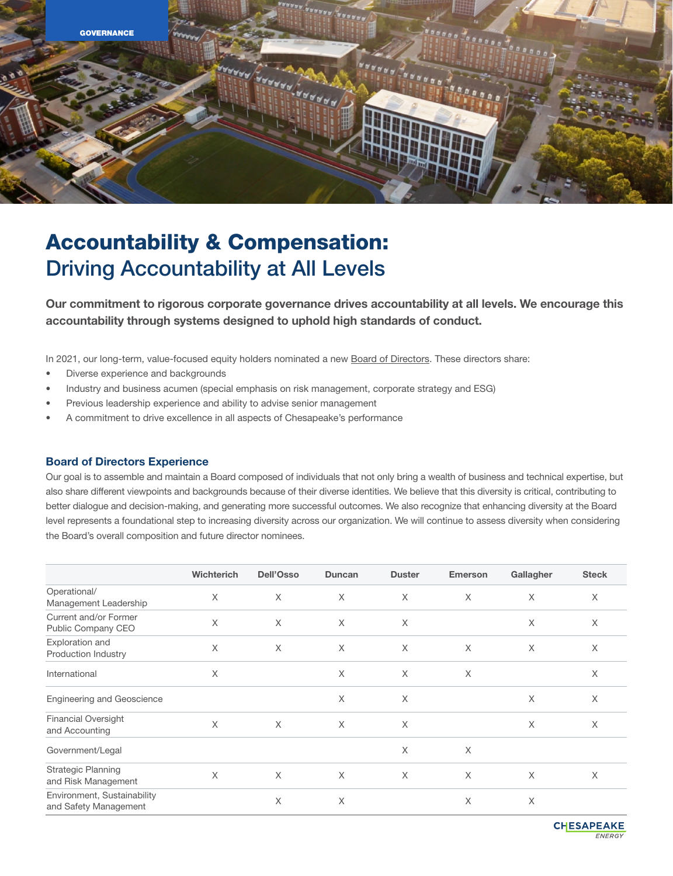

# Accountability & Compensation: Driving Accountability at All Levels

Our commitment to rigorous corporate governance drives accountability at all levels. We encourage this accountability through systems designed to uphold high standards of conduct.

In 2021, our long-term, value-focused equity holders nominated a new [Board of Directors](http://www.chk.com/about/board-of-directors). These directors share:

- Diverse experience and backgrounds
- Industry and business acumen (special emphasis on risk management, corporate strategy and ESG)
- Previous leadership experience and ability to advise senior management
- A commitment to drive excellence in all aspects of Chesapeake's performance

#### Board of Directors Experience

Our goal is to assemble and maintain a Board composed of individuals that not only bring a wealth of business and technical expertise, but also share different viewpoints and backgrounds because of their diverse identities. We believe that this diversity is critical, contributing to better dialogue and decision-making, and generating more successful outcomes. We also recognize that enhancing diversity at the Board level represents a foundational step to increasing diversity across our organization. We will continue to assess diversity when considering the Board's overall composition and future director nominees.

|                                                      | Wichterich | <b>Dell'Osso</b> | <b>Duncan</b> | <b>Duster</b> | <b>Emerson</b> | Gallagher | <b>Steck</b> |
|------------------------------------------------------|------------|------------------|---------------|---------------|----------------|-----------|--------------|
| Operational/<br>Management Leadership                | $\times$   | $\times$         | X             | X             | X              | $\times$  | $\times$     |
| Current and/or Former<br>Public Company CEO          | $\times$   | $\times$         | $\times$      | $\times$      |                | $\times$  | $\times$     |
| Exploration and<br>Production Industry               | $\times$   | $\times$         | X             | X             | X              | $\times$  | X            |
| International                                        | $\times$   |                  | X             | $\times$      | $\times$       |           | X            |
| <b>Engineering and Geoscience</b>                    |            |                  | X             | $\times$      |                | $\times$  | $\times$     |
| <b>Financial Oversight</b><br>and Accounting         | $\times$   | $\times$         | X             | X             |                | $\times$  | $\times$     |
| Government/Legal                                     |            |                  |               | X             | $\times$       |           |              |
| <b>Strategic Planning</b><br>and Risk Management     | X          | $\times$         | X             | X             | X              | $\times$  | X            |
| Environment, Sustainability<br>and Safety Management |            | X                | X             |               | X              | $\times$  |              |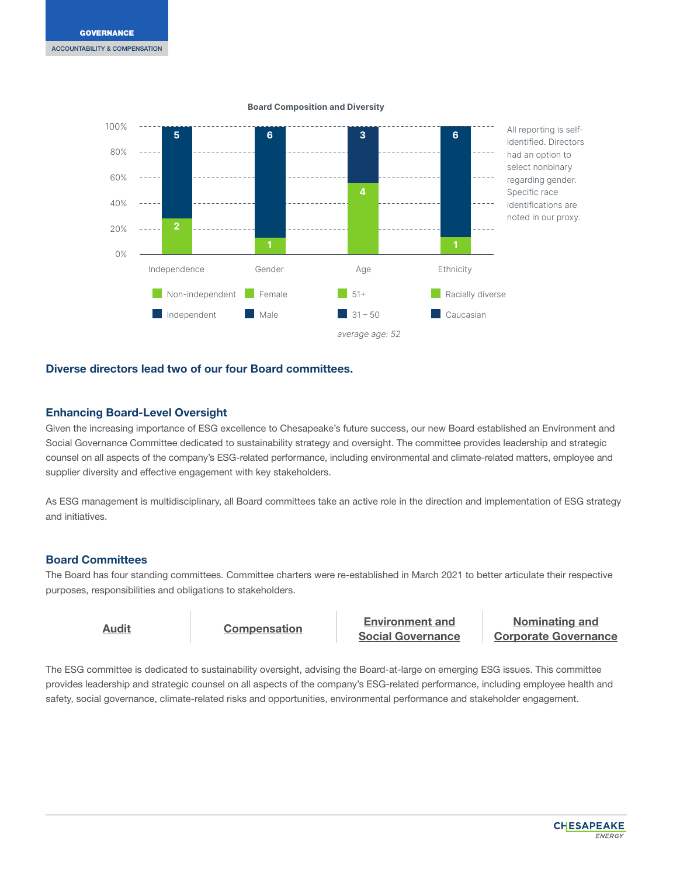

#### Board Composition and Diversity

# Diverse directors lead two of our four Board committees.

# Enhancing Board-Level Oversight

Given the increasing importance of ESG excellence to Chesapeake's future success, our new Board established an Environment and Social Governance Committee dedicated to sustainability strategy and oversight. The committee provides leadership and strategic counsel on all aspects of the company's ESG-related performance, including environmental and climate-related matters, employee and supplier diversity and effective engagement with key stakeholders.

As ESG management is multidisciplinary, all Board committees take an active role in the direction and implementation of ESG strategy and initiatives.

# Board Committees

The Board has four standing committees. Committee charters were re-established in March 2021 to better articulate their respective purposes, responsibilities and obligations to stakeholders.

[Audit](http://www.chk.com/documents/governance/audit-committee-charter.pdf) [Compensation](http://www.chk.com/Documents/governance/compensation-committee-charter.pdf) [Environment and](http://www.chk.com/Documents/governance/esg-committee-charter.pdf) [Social Governance](http://www.chk.com/Documents/governance/esg-committee-charter.pdf)

[Nominating and](http://www.chk.com/documents/governance/nominating-committee-charter.pdf) [Corporate Governance](http://www.chk.com/documents/governance/nominating-committee-charter.pdf)

The ESG committee is dedicated to sustainability oversight, advising the Board-at-large on emerging ESG issues. This committee provides leadership and strategic counsel on all aspects of the company's ESG-related performance, including employee health and safety, social governance, climate-related risks and opportunities, environmental performance and stakeholder engagement.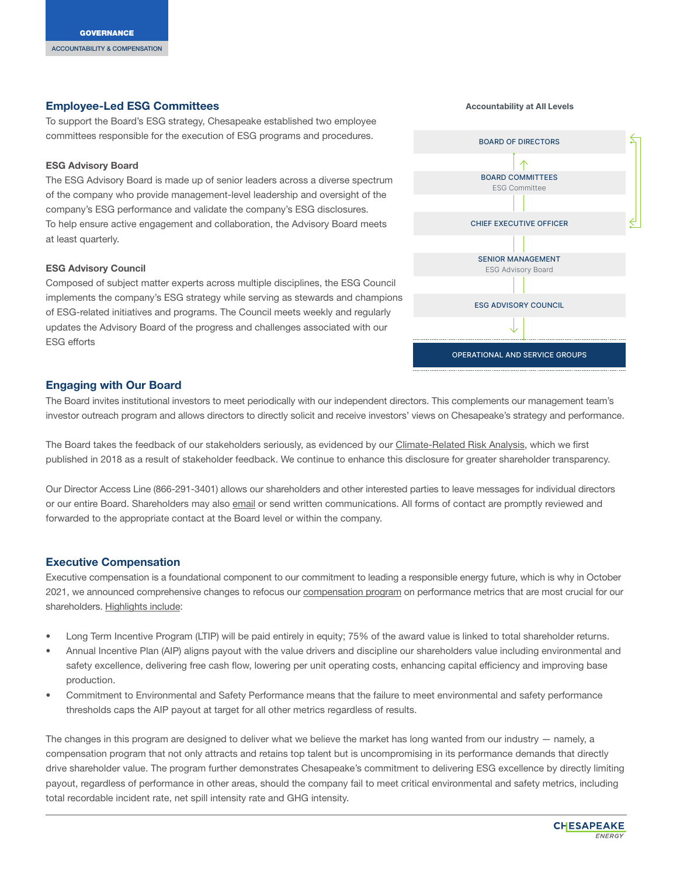# Employee-Led ESG Committees

To support the Board's ESG strategy, Chesapeake established two employee committees responsible for the execution of ESG programs and procedures.

#### ESG Advisory Board

The ESG Advisory Board is made up of senior leaders across a diverse spectrum of the company who provide management-level leadership and oversight of the company's ESG performance and validate the company's ESG disclosures. To help ensure active engagement and collaboration, the Advisory Board meets at least quarterly.

#### ESG Advisory Council

Composed of subject matter experts across multiple disciplines, the ESG Council implements the company's ESG strategy while serving as stewards and champions of ESG-related initiatives and programs. The Council meets weekly and regularly updates the Advisory Board of the progress and challenges associated with our ESG efforts

# BOARD OF DIRECTORS OPERATIONAL AND SERVICE GROUPS BOARD COMMITTEES ESG Committee CHIEF EXECUTIVE OFFICER SENIOR MANAGEMENT ESG Advisory Board ESG ADVISORY COUNCIL

# Engaging with Our Board

The Board invites institutional investors to meet periodically with our independent directors. This complements our management team's investor outreach program and allows directors to directly solicit and receive investors' views on Chesapeake's strategy and performance.

The Board takes the feedback of our stakeholders seriously, as evidenced by our [Climate-Related Risk Analysis](https://esg.chk.com/climate/natural-gas/), which we first published in 2018 as a result of stakeholder feedback. We continue to enhance this disclosure for greater shareholder transparency.

Our Director Access Line (866-291-3401) allows our shareholders and other interested parties to leave messages for individual directors or our entire Board. Shareholders may also [email](http://www.chk.com/contact?talkTo=Board+of+Directors) or send written communications. All forms of contact are promptly reviewed and forwarded to the appropriate contact at the Board level or within the company.

# Executive Compensation

Executive compensation is a foundational component to our commitment to leading a responsible energy future, which is why in October 2021, we announced comprehensive changes to refocus our [compensation program](https://issuu.com/chesapeakeenergy/docs/neo_compprogramhighlights_final) on performance metrics that are most crucial for our shareholders. [Highlights include](https://issuu.com/chesapeakeenergy/docs/neo_compprogramhighlights_final):

- Long Term Incentive Program (LTIP) will be paid entirely in equity; 75% of the award value is linked to total shareholder returns.
- Annual Incentive Plan (AIP) aligns payout with the value drivers and discipline our shareholders value including environmental and safety excellence, delivering free cash flow, lowering per unit operating costs, enhancing capital efficiency and improving base production.
- Commitment to Environmental and Safety Performance means that the failure to meet environmental and safety performance thresholds caps the AIP payout at target for all other metrics regardless of results.

The changes in this program are designed to deliver what we believe the market has long wanted from our industry — namely, a compensation program that not only attracts and retains top talent but is uncompromising in its performance demands that directly drive shareholder value. The program further demonstrates Chesapeake's commitment to delivering ESG excellence by directly limiting payout, regardless of performance in other areas, should the company fail to meet critical environmental and safety metrics, including total recordable incident rate, net spill intensity rate and GHG intensity.

#### Accountability at All Levels